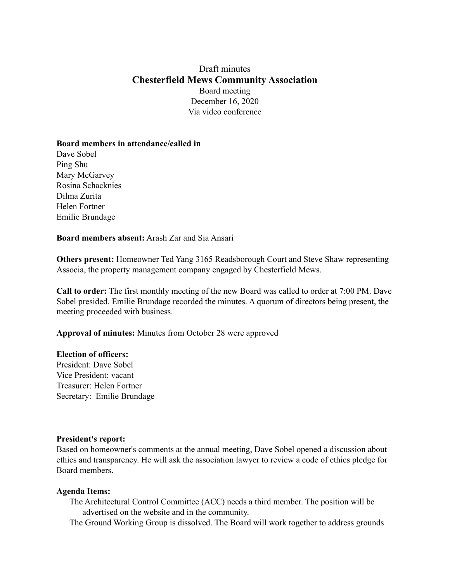# Draft minutes **Chesterfield Mews Community Association** Board meeting December 16, 2020 Via video conference

### **Board members in attendance/called in**

Dave Sobel Ping Shu Mary McGarvey Rosina Schacknies Dilma Zurita Helen Fortner Emilie Brundage

**Board members absent:** Arash Zar and Sia Ansari

**Others present:** Homeowner Ted Yang 3165 Readsborough Court and Steve Shaw representing Associa, the property management company engaged by Chesterfield Mews.

**Call to order:** The first monthly meeting of the new Board was called to order at 7:00 PM. Dave Sobel presided. Emilie Brundage recorded the minutes. A quorum of directors being present, the meeting proceeded with business.

**Approval of minutes:** Minutes from October 28 were approved

#### **Election of officers:**

President: Dave Sobel Vice President: vacant Treasurer: Helen Fortner Secretary: Emilie Brundage

#### **President's report:**

Based on homeowner's comments at the annual meeting, Dave Sobel opened a discussion about ethics and transparency. He will ask the association lawyer to review a code of ethics pledge for Board members.

#### **Agenda Items:**

The Architectural Control Committee (ACC) needs a third member. The position will be advertised on the website and in the community.

The Ground Working Group is dissolved. The Board will work together to address grounds